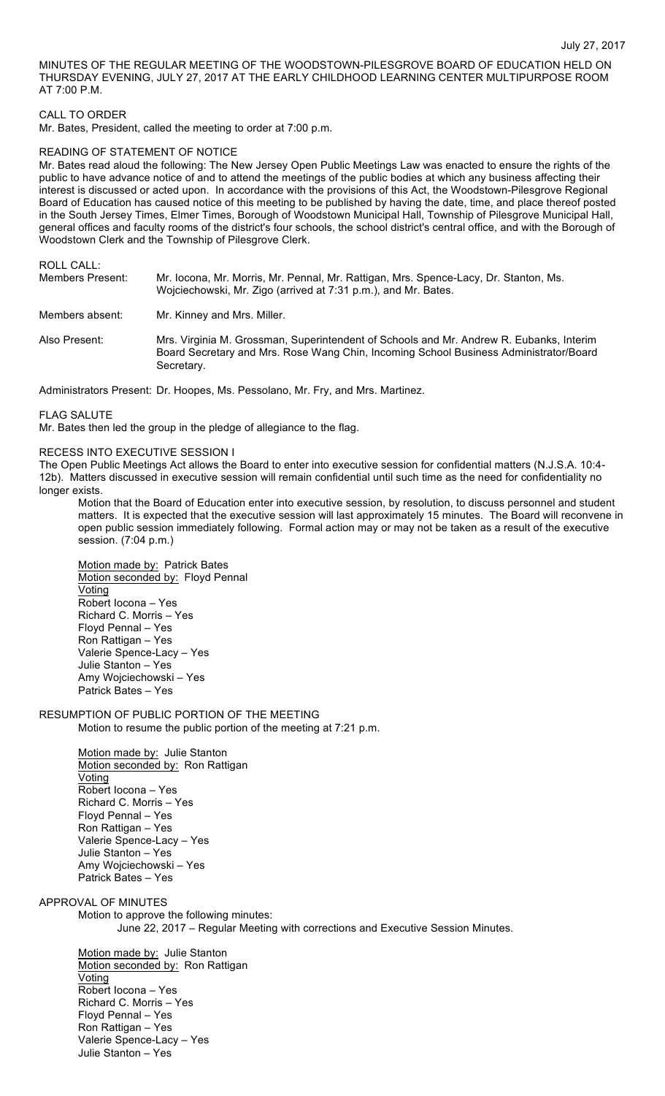MINUTES OF THE REGULAR MEETING OF THE WOODSTOWN-PILESGROVE BOARD OF EDUCATION HELD ON THURSDAY EVENING, JULY 27, 2017 AT THE EARLY CHILDHOOD LEARNING CENTER MULTIPURPOSE ROOM AT 7:00 P.M.

### CALL TO ORDER

Mr. Bates, President, called the meeting to order at 7:00 p.m.

#### READING OF STATEMENT OF NOTICE

Mr. Bates read aloud the following: The New Jersey Open Public Meetings Law was enacted to ensure the rights of the public to have advance notice of and to attend the meetings of the public bodies at which any business affecting their interest is discussed or acted upon. In accordance with the provisions of this Act, the Woodstown-Pilesgrove Regional Board of Education has caused notice of this meeting to be published by having the date, time, and place thereof posted in the South Jersey Times, Elmer Times, Borough of Woodstown Municipal Hall, Township of Pilesgrove Municipal Hall, general offices and faculty rooms of the district's four schools, the school district's central office, and with the Borough of Woodstown Clerk and the Township of Pilesgrove Clerk.

| ROLL CALL:<br>Members Present: | Mr. locona, Mr. Morris, Mr. Pennal, Mr. Rattigan, Mrs. Spence-Lacy, Dr. Stanton, Ms. |
|--------------------------------|--------------------------------------------------------------------------------------|
|                                | Wojciechowski, Mr. Zigo (arrived at 7:31 p.m.), and Mr. Bates.                       |
| Members absent:                | Mr. Kinney and Mrs. Miller.                                                          |
|                                |                                                                                      |

Also Present: Mrs. Virginia M. Grossman, Superintendent of Schools and Mr. Andrew R. Eubanks, Interim Board Secretary and Mrs. Rose Wang Chin, Incoming School Business Administrator/Board Secretary.

Administrators Present: Dr. Hoopes, Ms. Pessolano, Mr. Fry, and Mrs. Martinez.

FLAG SALUTE

Mr. Bates then led the group in the pledge of allegiance to the flag.

# RECESS INTO EXECUTIVE SESSION I

The Open Public Meetings Act allows the Board to enter into executive session for confidential matters (N.J.S.A. 10:4- 12b). Matters discussed in executive session will remain confidential until such time as the need for confidentiality no longer exists.

Motion that the Board of Education enter into executive session, by resolution, to discuss personnel and student matters. It is expected that the executive session will last approximately 15 minutes. The Board will reconvene in open public session immediately following. Formal action may or may not be taken as a result of the executive session. (7:04 p.m.)

Motion made by: Patrick Bates Motion seconded by: Floyd Pennal Voting Robert Iocona – Yes Richard C. Morris – Yes Floyd Pennal – Yes Ron Rattigan – Yes Valerie Spence-Lacy – Yes Julie Stanton – Yes Amy Wojciechowski – Yes Patrick Bates – Yes

#### RESUMPTION OF PUBLIC PORTION OF THE MEETING Motion to resume the public portion of the meeting at 7:21 p.m.

Motion made by: Julie Stanton Motion seconded by: Ron Rattigan Voting Robert Iocona – Yes Richard C. Morris – Yes Floyd Pennal – Yes Ron Rattigan – Yes Valerie Spence-Lacy – Yes Julie Stanton – Yes Amy Wojciechowski – Yes Patrick Bates – Yes

APPROVAL OF MINUTES

Motion to approve the following minutes: June 22, 2017 – Regular Meeting with corrections and Executive Session Minutes.

Motion made by: Julie Stanton Motion seconded by: Ron Rattigan Voting Robert Iocona – Yes Richard C. Morris – Yes Floyd Pennal – Yes Ron Rattigan – Yes Valerie Spence-Lacy – Yes Julie Stanton – Yes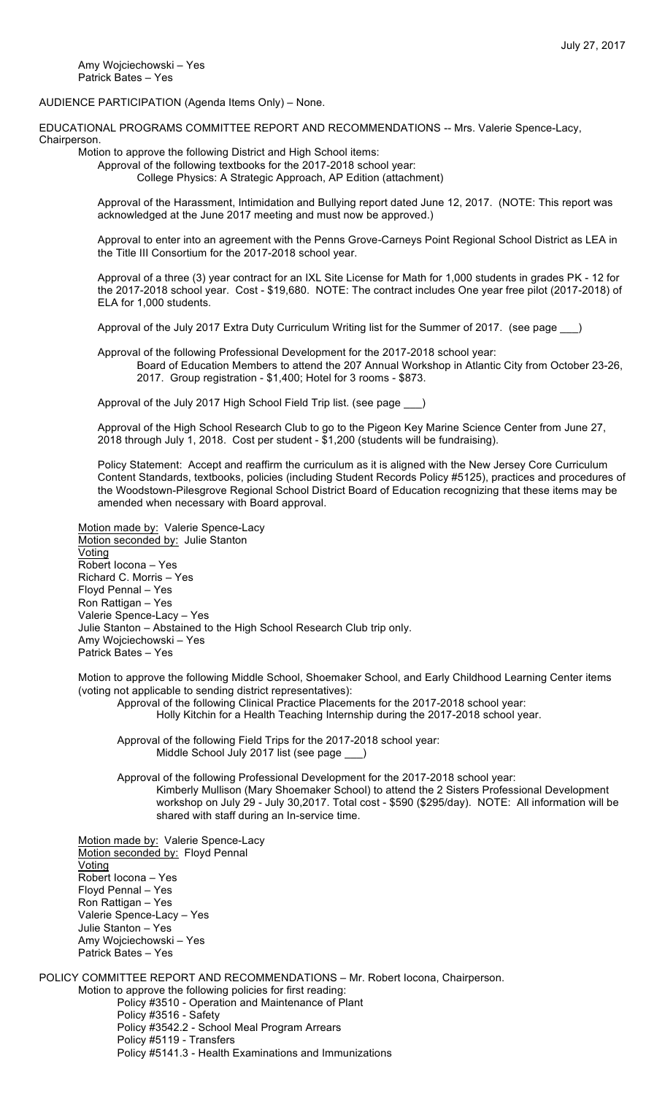Amy Wojciechowski – Yes Patrick Bates – Yes

AUDIENCE PARTICIPATION (Agenda Items Only) – None.

EDUCATIONAL PROGRAMS COMMITTEE REPORT AND RECOMMENDATIONS -- Mrs. Valerie Spence-Lacy, **Chairperson** 

Motion to approve the following District and High School items:

Approval of the following textbooks for the 2017-2018 school year: College Physics: A Strategic Approach, AP Edition (attachment)

Approval of the Harassment, Intimidation and Bullying report dated June 12, 2017. (NOTE: This report was acknowledged at the June 2017 meeting and must now be approved.)

Approval to enter into an agreement with the Penns Grove-Carneys Point Regional School District as LEA in the Title III Consortium for the 2017-2018 school year.

Approval of a three (3) year contract for an IXL Site License for Math for 1,000 students in grades PK - 12 for the 2017-2018 school year. Cost - \$19,680. NOTE: The contract includes One year free pilot (2017-2018) of ELA for 1,000 students.

Approval of the July 2017 Extra Duty Curriculum Writing list for the Summer of 2017. (see page \_\_\_)

Approval of the following Professional Development for the 2017-2018 school year: Board of Education Members to attend the 207 Annual Workshop in Atlantic City from October 23-26, 2017. Group registration - \$1,400; Hotel for 3 rooms - \$873.

Approval of the July 2017 High School Field Trip list. (see page \_\_\_)

Approval of the High School Research Club to go to the Pigeon Key Marine Science Center from June 27, 2018 through July 1, 2018. Cost per student - \$1,200 (students will be fundraising).

Policy Statement: Accept and reaffirm the curriculum as it is aligned with the New Jersey Core Curriculum Content Standards, textbooks, policies (including Student Records Policy #5125), practices and procedures of the Woodstown-Pilesgrove Regional School District Board of Education recognizing that these items may be amended when necessary with Board approval.

Motion made by: Valerie Spence-Lacy Motion seconded by: Julie Stanton Voting Robert Iocona – Yes Richard C. Morris – Yes Floyd Pennal – Yes Ron Rattigan – Yes Valerie Spence-Lacy – Yes Julie Stanton – Abstained to the High School Research Club trip only. Amy Wojciechowski – Yes Patrick Bates – Yes

Motion to approve the following Middle School, Shoemaker School, and Early Childhood Learning Center items (voting not applicable to sending district representatives):

Approval of the following Clinical Practice Placements for the 2017-2018 school year:

Holly Kitchin for a Health Teaching Internship during the 2017-2018 school year.

Approval of the following Field Trips for the 2017-2018 school year: Middle School July 2017 list (see page \_\_\_)

Approval of the following Professional Development for the 2017-2018 school year: Kimberly Mullison (Mary Shoemaker School) to attend the 2 Sisters Professional Development workshop on July 29 - July 30,2017. Total cost - \$590 (\$295/day). NOTE: All information will be shared with staff during an In-service time.

Motion made by: Valerie Spence-Lacy Motion seconded by: Floyd Pennal **Voting** Robert Iocona – Yes Floyd Pennal – Yes Ron Rattigan – Yes Valerie Spence-Lacy – Yes Julie Stanton – Yes Amy Wojciechowski – Yes Patrick Bates – Yes

POLICY COMMITTEE REPORT AND RECOMMENDATIONS – Mr. Robert Iocona, Chairperson. Motion to approve the following policies for first reading: Policy #3510 - Operation and Maintenance of Plant Policy #3516 - Safety Policy #3542.2 - School Meal Program Arrears Policy #5119 - Transfers Policy #5141.3 - Health Examinations and Immunizations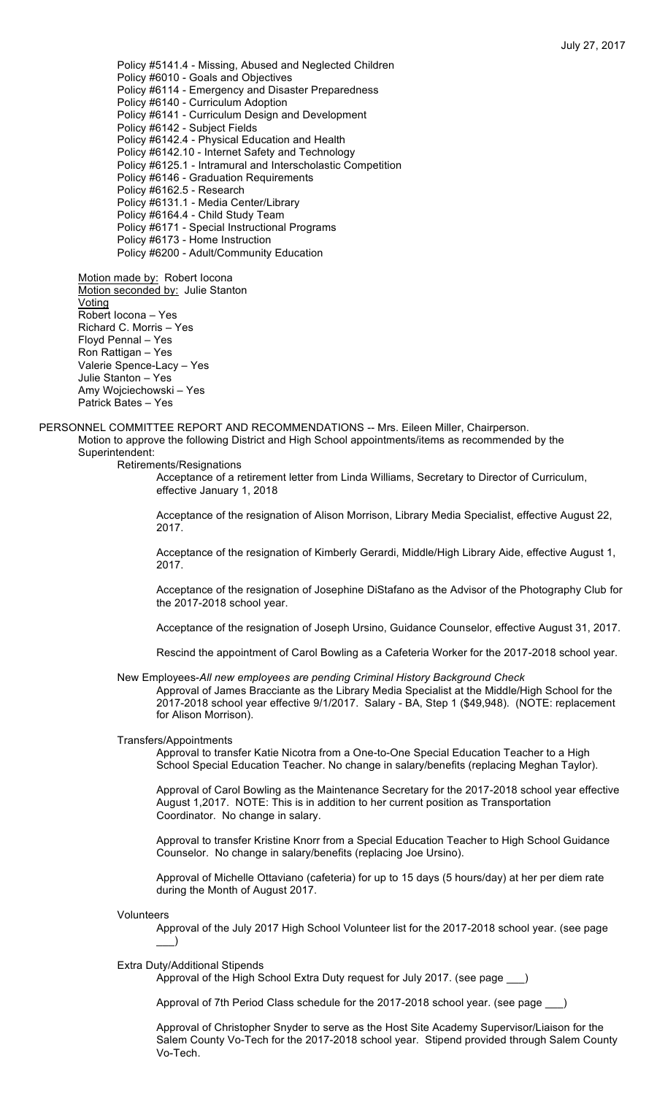Policy #5141.4 - Missing, Abused and Neglected Children Policy #6010 - Goals and Objectives Policy #6114 - Emergency and Disaster Preparedness Policy #6140 - Curriculum Adoption Policy #6141 - Curriculum Design and Development Policy #6142 - Subject Fields Policy #6142.4 - Physical Education and Health Policy #6142.10 - Internet Safety and Technology Policy #6125.1 - Intramural and Interscholastic Competition Policy #6146 - Graduation Requirements Policy #6162.5 - Research Policy #6131.1 - Media Center/Library Policy #6164.4 - Child Study Team Policy #6171 - Special Instructional Programs Policy #6173 - Home Instruction Policy #6200 - Adult/Community Education

Motion made by: Robert locona Motion seconded by: Julie Stanton Voting Robert Iocona – Yes Richard C. Morris – Yes Floyd Pennal – Yes Ron Rattigan – Yes Valerie Spence-Lacy – Yes Julie Stanton – Yes Amy Wojciechowski – Yes Patrick Bates – Yes

PERSONNEL COMMITTEE REPORT AND RECOMMENDATIONS -- Mrs. Eileen Miller, Chairperson. Motion to approve the following District and High School appointments/items as recommended by the Superintendent:

Retirements/Resignations

Acceptance of a retirement letter from Linda Williams, Secretary to Director of Curriculum, effective January 1, 2018

Acceptance of the resignation of Alison Morrison, Library Media Specialist, effective August 22, 2017.

Acceptance of the resignation of Kimberly Gerardi, Middle/High Library Aide, effective August 1, 2017.

Acceptance of the resignation of Josephine DiStafano as the Advisor of the Photography Club for the 2017-2018 school year.

Acceptance of the resignation of Joseph Ursino, Guidance Counselor, effective August 31, 2017.

Rescind the appointment of Carol Bowling as a Cafeteria Worker for the 2017-2018 school year.

New Employees-*All new employees are pending Criminal History Background Check*

Approval of James Bracciante as the Library Media Specialist at the Middle/High School for the 2017-2018 school year effective 9/1/2017. Salary - BA, Step 1 (\$49,948). (NOTE: replacement for Alison Morrison).

Transfers/Appointments

Approval to transfer Katie Nicotra from a One-to-One Special Education Teacher to a High School Special Education Teacher. No change in salary/benefits (replacing Meghan Taylor).

Approval of Carol Bowling as the Maintenance Secretary for the 2017-2018 school year effective August 1,2017. NOTE: This is in addition to her current position as Transportation Coordinator. No change in salary.

Approval to transfer Kristine Knorr from a Special Education Teacher to High School Guidance Counselor. No change in salary/benefits (replacing Joe Ursino).

Approval of Michelle Ottaviano (cafeteria) for up to 15 days (5 hours/day) at her per diem rate during the Month of August 2017.

Volunteers

Approval of the July 2017 High School Volunteer list for the 2017-2018 school year. (see page  $\rightarrow$ 

### Extra Duty/Additional Stipends

Approval of the High School Extra Duty request for July 2017. (see page \_

Approval of 7th Period Class schedule for the 2017-2018 school year. (see page \_\_\_)

Approval of Christopher Snyder to serve as the Host Site Academy Supervisor/Liaison for the Salem County Vo-Tech for the 2017-2018 school year. Stipend provided through Salem County Vo-Tech.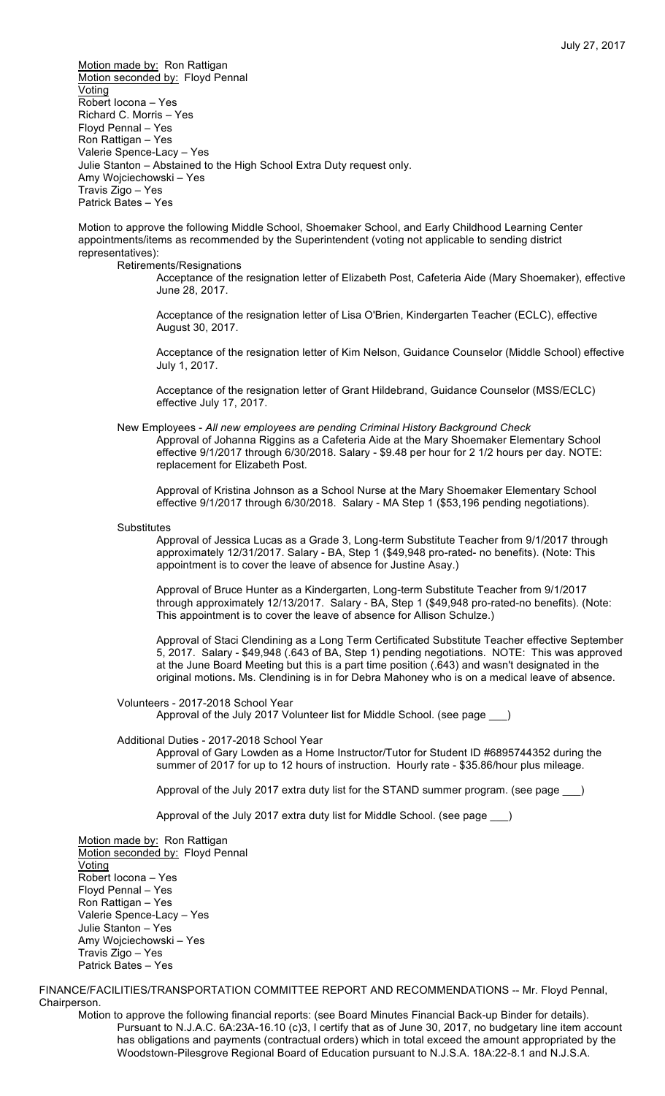Motion made by: Ron Rattigan Motion seconded by: Floyd Pennal Voting Robert Iocona – Yes Richard C. Morris – Yes Floyd Pennal – Yes Ron Rattigan – Yes Valerie Spence-Lacy – Yes Julie Stanton – Abstained to the High School Extra Duty request only. Amy Wojciechowski – Yes Travis Zigo – Yes Patrick Bates – Yes

Motion to approve the following Middle School, Shoemaker School, and Early Childhood Learning Center appointments/items as recommended by the Superintendent (voting not applicable to sending district representatives):

Retirements/Resignations

Acceptance of the resignation letter of Elizabeth Post, Cafeteria Aide (Mary Shoemaker), effective June 28, 2017.

Acceptance of the resignation letter of Lisa O'Brien, Kindergarten Teacher (ECLC), effective August 30, 2017.

Acceptance of the resignation letter of Kim Nelson, Guidance Counselor (Middle School) effective July 1, 2017.

Acceptance of the resignation letter of Grant Hildebrand, Guidance Counselor (MSS/ECLC) effective July 17, 2017.

New Employees - *All new employees are pending Criminal History Background Check* Approval of Johanna Riggins as a Cafeteria Aide at the Mary Shoemaker Elementary School effective 9/1/2017 through 6/30/2018. Salary - \$9.48 per hour for 2 1/2 hours per day. NOTE: replacement for Elizabeth Post.

Approval of Kristina Johnson as a School Nurse at the Mary Shoemaker Elementary School effective 9/1/2017 through 6/30/2018. Salary - MA Step 1 (\$53,196 pending negotiations).

**Substitutes** 

Approval of Jessica Lucas as a Grade 3, Long-term Substitute Teacher from 9/1/2017 through approximately 12/31/2017. Salary - BA, Step 1 (\$49,948 pro-rated- no benefits). (Note: This appointment is to cover the leave of absence for Justine Asay.)

Approval of Bruce Hunter as a Kindergarten, Long-term Substitute Teacher from 9/1/2017 through approximately 12/13/2017. Salary - BA, Step 1 (\$49,948 pro-rated-no benefits). (Note: This appointment is to cover the leave of absence for Allison Schulze.)

Approval of Staci Clendining as a Long Term Certificated Substitute Teacher effective September 5, 2017. Salary - \$49,948 (.643 of BA, Step 1) pending negotiations. NOTE: This was approved at the June Board Meeting but this is a part time position (.643) and wasn't designated in the original motions**.** Ms. Clendining is in for Debra Mahoney who is on a medical leave of absence.

Volunteers - 2017-2018 School Year

Approval of the July 2017 Volunteer list for Middle School. (see page \_\_\_)

# Additional Duties - 2017-2018 School Year

Approval of Gary Lowden as a Home Instructor/Tutor for Student ID #6895744352 during the summer of 2017 for up to 12 hours of instruction. Hourly rate - \$35.86/hour plus mileage.

Approval of the July 2017 extra duty list for the STAND summer program. (see page \_\_\_)

Approval of the July 2017 extra duty list for Middle School. (see page

Motion made by: Ron Rattigan Motion seconded by: Floyd Pennal **Voting** Robert Iocona – Yes Floyd Pennal – Yes Ron Rattigan – Yes Valerie Spence-Lacy – Yes Julie Stanton – Yes Amy Wojciechowski – Yes Travis Zigo – Yes Patrick Bates – Yes

FINANCE/FACILITIES/TRANSPORTATION COMMITTEE REPORT AND RECOMMENDATIONS -- Mr. Floyd Pennal, Chairperson.

Motion to approve the following financial reports: (see Board Minutes Financial Back-up Binder for details). Pursuant to N.J.A.C. 6A:23A-16.10 (c)3, I certify that as of June 30, 2017, no budgetary line item account has obligations and payments (contractual orders) which in total exceed the amount appropriated by the Woodstown-Pilesgrove Regional Board of Education pursuant to N.J.S.A. 18A:22-8.1 and N.J.S.A.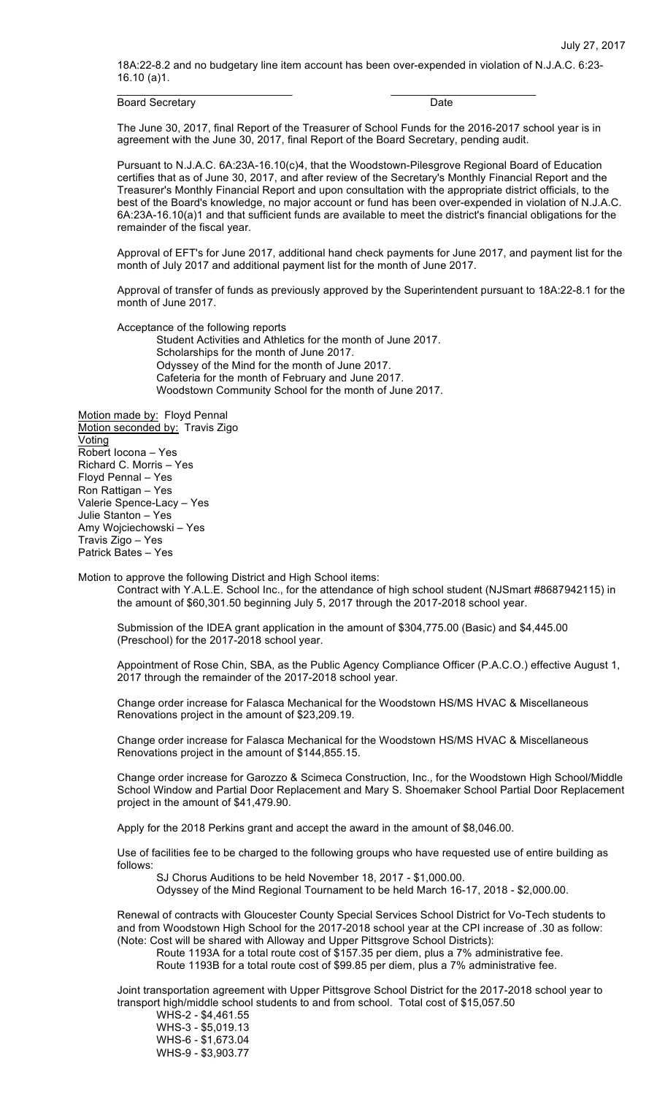18A:22-8.2 and no budgetary line item account has been over-expended in violation of N.J.A.C. 6:23- 16.10 (a)1.

 $\frac{1}{2}$  ,  $\frac{1}{2}$  ,  $\frac{1}{2}$  ,  $\frac{1}{2}$  ,  $\frac{1}{2}$  ,  $\frac{1}{2}$  ,  $\frac{1}{2}$  ,  $\frac{1}{2}$  ,  $\frac{1}{2}$  ,  $\frac{1}{2}$  ,  $\frac{1}{2}$  ,  $\frac{1}{2}$  ,  $\frac{1}{2}$  ,  $\frac{1}{2}$  ,  $\frac{1}{2}$  ,  $\frac{1}{2}$  ,  $\frac{1}{2}$  ,  $\frac{1}{2}$  ,  $\frac{1$ 

Board Secretary **Date** 

The June 30, 2017, final Report of the Treasurer of School Funds for the 2016-2017 school year is in agreement with the June 30, 2017, final Report of the Board Secretary, pending audit.

Pursuant to N.J.A.C. 6A:23A-16.10(c)4, that the Woodstown-Pilesgrove Regional Board of Education certifies that as of June 30, 2017, and after review of the Secretary's Monthly Financial Report and the Treasurer's Monthly Financial Report and upon consultation with the appropriate district officials, to the best of the Board's knowledge, no major account or fund has been over-expended in violation of N.J.A.C. 6A:23A-16.10(a)1 and that sufficient funds are available to meet the district's financial obligations for the remainder of the fiscal year.

Approval of EFT's for June 2017, additional hand check payments for June 2017, and payment list for the month of July 2017 and additional payment list for the month of June 2017.

Approval of transfer of funds as previously approved by the Superintendent pursuant to 18A:22-8.1 for the month of June 2017.

Acceptance of the following reports

Student Activities and Athletics for the month of June 2017. Scholarships for the month of June 2017. Odyssey of the Mind for the month of June 2017. Cafeteria for the month of February and June 2017. Woodstown Community School for the month of June 2017.

Motion made by: Floyd Pennal Motion seconded by: Travis Zigo Voting Robert Iocona – Yes Richard C. Morris – Yes Floyd Pennal – Yes Ron Rattigan – Yes Valerie Spence-Lacy – Yes Julie Stanton – Yes Amy Wojciechowski – Yes Travis Zigo – Yes Patrick Bates – Yes

Motion to approve the following District and High School items:

Contract with Y.A.L.E. School Inc., for the attendance of high school student (NJSmart #8687942115) in the amount of \$60,301.50 beginning July 5, 2017 through the 2017-2018 school year.

Submission of the IDEA grant application in the amount of \$304,775.00 (Basic) and \$4,445.00 (Preschool) for the 2017-2018 school year.

Appointment of Rose Chin, SBA, as the Public Agency Compliance Officer (P.A.C.O.) effective August 1, 2017 through the remainder of the 2017-2018 school year.

Change order increase for Falasca Mechanical for the Woodstown HS/MS HVAC & Miscellaneous Renovations project in the amount of \$23,209.19.

Change order increase for Falasca Mechanical for the Woodstown HS/MS HVAC & Miscellaneous Renovations project in the amount of \$144,855.15.

Change order increase for Garozzo & Scimeca Construction, Inc., for the Woodstown High School/Middle School Window and Partial Door Replacement and Mary S. Shoemaker School Partial Door Replacement project in the amount of \$41,479.90.

Apply for the 2018 Perkins grant and accept the award in the amount of \$8,046.00.

Use of facilities fee to be charged to the following groups who have requested use of entire building as follows:

SJ Chorus Auditions to be held November 18, 2017 - \$1,000.00.

Odyssey of the Mind Regional Tournament to be held March 16-17, 2018 - \$2,000.00.

Renewal of contracts with Gloucester County Special Services School District for Vo-Tech students to and from Woodstown High School for the 2017-2018 school year at the CPI increase of .30 as follow: (Note: Cost will be shared with Alloway and Upper Pittsgrove School Districts):

Route 1193A for a total route cost of \$157.35 per diem, plus a 7% administrative fee.

Route 1193B for a total route cost of \$99.85 per diem, plus a 7% administrative fee.

Joint transportation agreement with Upper Pittsgrove School District for the 2017-2018 school year to transport high/middle school students to and from school. Total cost of \$15,057.50

WHS-2 - \$4,461.55 WHS-3 - \$5,019.13 WHS-6 - \$1,673.04 WHS-9 - \$3,903.77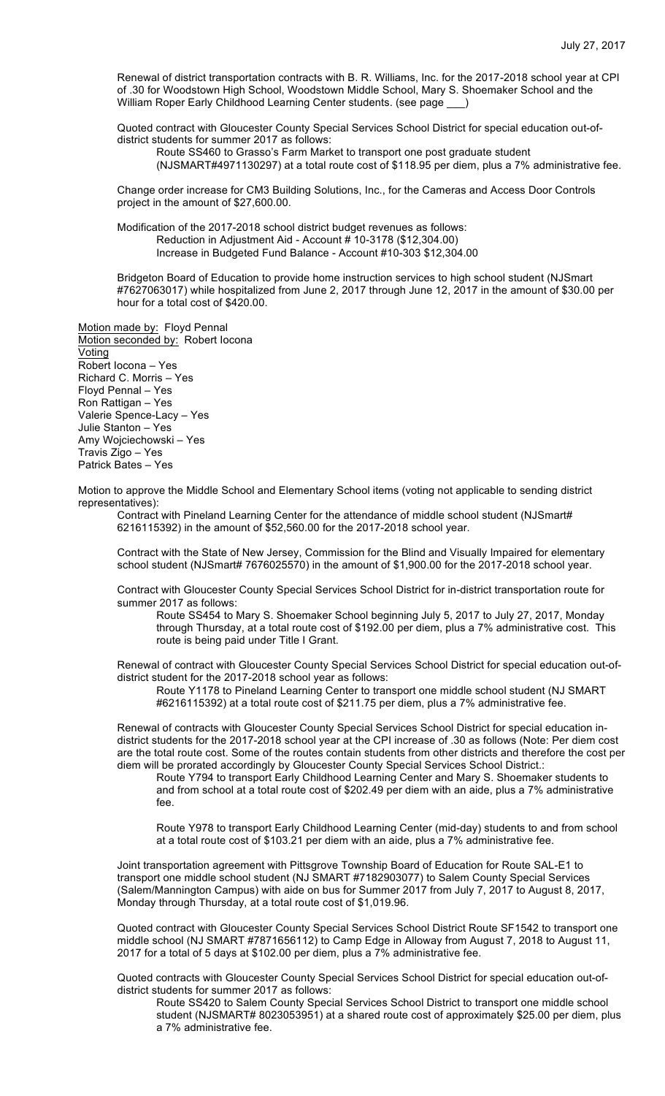Renewal of district transportation contracts with B. R. Williams, Inc. for the 2017-2018 school year at CPI of .30 for Woodstown High School, Woodstown Middle School, Mary S. Shoemaker School and the William Roper Early Childhood Learning Center students. (see page \_\_)

Quoted contract with Gloucester County Special Services School District for special education out-ofdistrict students for summer 2017 as follows:

Route SS460 to Grasso's Farm Market to transport one post graduate student

(NJSMART#4971130297) at a total route cost of \$118.95 per diem, plus a 7% administrative fee.

Change order increase for CM3 Building Solutions, Inc., for the Cameras and Access Door Controls project in the amount of \$27,600.00.

Modification of the 2017-2018 school district budget revenues as follows: Reduction in Adjustment Aid - Account # 10-3178 (\$12,304.00) Increase in Budgeted Fund Balance - Account #10-303 \$12,304.00

Bridgeton Board of Education to provide home instruction services to high school student (NJSmart #7627063017) while hospitalized from June 2, 2017 through June 12, 2017 in the amount of \$30.00 per hour for a total cost of \$420.00.

Motion made by: Floyd Pennal Motion seconded by: Robert locona Voting Robert Iocona – Yes Richard C. Morris – Yes Floyd Pennal – Yes Ron Rattigan – Yes Valerie Spence-Lacy – Yes Julie Stanton – Yes Amy Wojciechowski – Yes Travis Zigo – Yes Patrick Bates – Yes

Motion to approve the Middle School and Elementary School items (voting not applicable to sending district representatives):

Contract with Pineland Learning Center for the attendance of middle school student (NJSmart# 6216115392) in the amount of \$52,560.00 for the 2017-2018 school year.

Contract with the State of New Jersey, Commission for the Blind and Visually Impaired for elementary school student (NJSmart# 7676025570) in the amount of \$1,900.00 for the 2017-2018 school year.

Contract with Gloucester County Special Services School District for in-district transportation route for summer 2017 as follows:

Route SS454 to Mary S. Shoemaker School beginning July 5, 2017 to July 27, 2017, Monday through Thursday, at a total route cost of \$192.00 per diem, plus a 7% administrative cost. This route is being paid under Title I Grant.

Renewal of contract with Gloucester County Special Services School District for special education out-ofdistrict student for the 2017-2018 school year as follows:

Route Y1178 to Pineland Learning Center to transport one middle school student (NJ SMART #6216115392) at a total route cost of \$211.75 per diem, plus a 7% administrative fee.

Renewal of contracts with Gloucester County Special Services School District for special education indistrict students for the 2017-2018 school year at the CPI increase of .30 as follows (Note: Per diem cost are the total route cost. Some of the routes contain students from other districts and therefore the cost per diem will be prorated accordingly by Gloucester County Special Services School District.:

Route Y794 to transport Early Childhood Learning Center and Mary S. Shoemaker students to and from school at a total route cost of \$202.49 per diem with an aide, plus a 7% administrative fee.

Route Y978 to transport Early Childhood Learning Center (mid-day) students to and from school at a total route cost of \$103.21 per diem with an aide, plus a 7% administrative fee.

Joint transportation agreement with Pittsgrove Township Board of Education for Route SAL-E1 to transport one middle school student (NJ SMART #7182903077) to Salem County Special Services (Salem/Mannington Campus) with aide on bus for Summer 2017 from July 7, 2017 to August 8, 2017, Monday through Thursday, at a total route cost of \$1,019.96.

Quoted contract with Gloucester County Special Services School District Route SF1542 to transport one middle school (NJ SMART #7871656112) to Camp Edge in Alloway from August 7, 2018 to August 11, 2017 for a total of 5 days at \$102.00 per diem, plus a 7% administrative fee.

Quoted contracts with Gloucester County Special Services School District for special education out-ofdistrict students for summer 2017 as follows:

Route SS420 to Salem County Special Services School District to transport one middle school student (NJSMART# 8023053951) at a shared route cost of approximately \$25.00 per diem, plus a 7% administrative fee.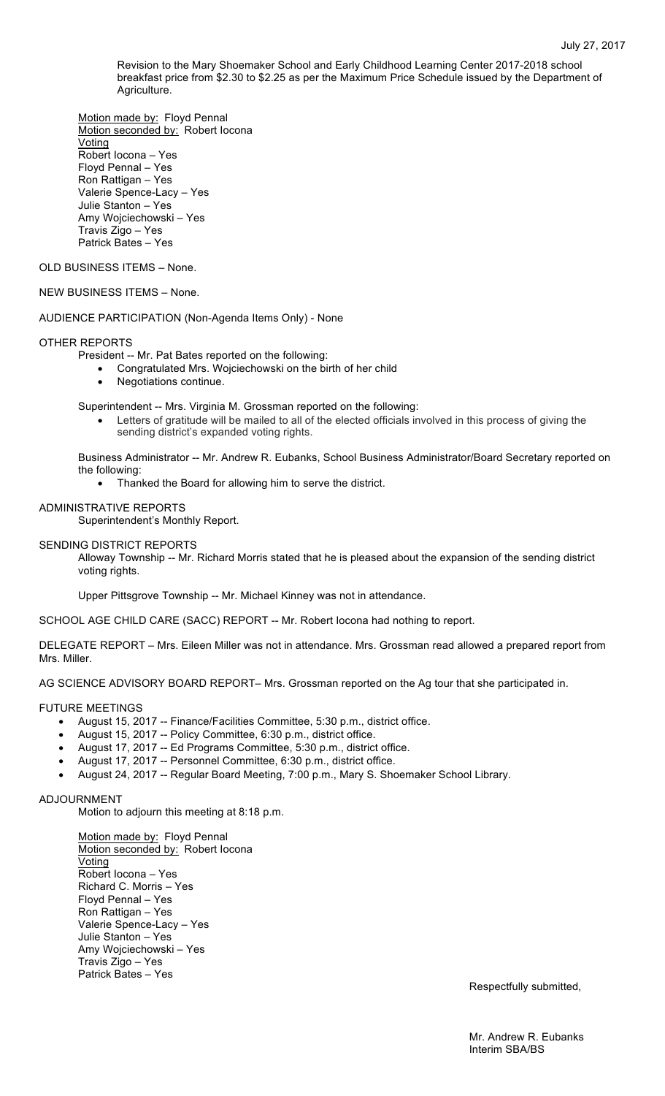Revision to the Mary Shoemaker School and Early Childhood Learning Center 2017-2018 school breakfast price from \$2.30 to \$2.25 as per the Maximum Price Schedule issued by the Department of Agriculture.

Motion made by: Floyd Pennal Motion seconded by: Robert Iocona **Voting** Robert Iocona – Yes Floyd Pennal – Yes Ron Rattigan – Yes Valerie Spence-Lacy – Yes Julie Stanton – Yes Amy Wojciechowski – Yes Travis Zigo – Yes Patrick Bates – Yes

OLD BUSINESS ITEMS – None.

# NEW BUSINESS ITEMS – None.

AUDIENCE PARTICIPATION (Non-Agenda Items Only) - None

### OTHER REPORTS

President -- Mr. Pat Bates reported on the following:

- Congratulated Mrs. Wojciechowski on the birth of her child
- Negotiations continue.

Superintendent -- Mrs. Virginia M. Grossman reported on the following:

• Letters of gratitude will be mailed to all of the elected officials involved in this process of giving the sending district's expanded voting rights.

Business Administrator -- Mr. Andrew R. Eubanks, School Business Administrator/Board Secretary reported on the following:

• Thanked the Board for allowing him to serve the district.

# ADMINISTRATIVE REPORTS

Superintendent's Monthly Report.

#### SENDING DISTRICT REPORTS

Alloway Township -- Mr. Richard Morris stated that he is pleased about the expansion of the sending district voting rights.

Upper Pittsgrove Township -- Mr. Michael Kinney was not in attendance.

SCHOOL AGE CHILD CARE (SACC) REPORT -- Mr. Robert Iocona had nothing to report.

DELEGATE REPORT – Mrs. Eileen Miller was not in attendance. Mrs. Grossman read allowed a prepared report from Mrs. Miller.

AG SCIENCE ADVISORY BOARD REPORT– Mrs. Grossman reported on the Ag tour that she participated in.

# FUTURE MEETINGS

- August 15, 2017 -- Finance/Facilities Committee, 5:30 p.m., district office.
- August 15, 2017 -- Policy Committee, 6:30 p.m., district office.
- August 17, 2017 -- Ed Programs Committee, 5:30 p.m., district office.
- August 17, 2017 -- Personnel Committee, 6:30 p.m., district office.
- August 24, 2017 -- Regular Board Meeting, 7:00 p.m., Mary S. Shoemaker School Library.

### ADJOURNMENT

Motion to adjourn this meeting at 8:18 p.m.

Motion made by: Floyd Pennal Motion seconded by: Robert locona Voting Robert Iocona – Yes Richard C. Morris – Yes Floyd Pennal – Yes Ron Rattigan – Yes Valerie Spence-Lacy – Yes Julie Stanton – Yes Amy Wojciechowski – Yes Travis Zigo – Yes Patrick Bates – Yes

Respectfully submitted,